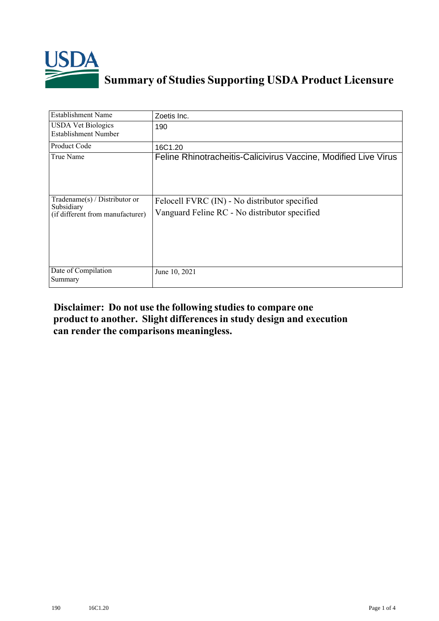

## **Summary of Studies Supporting USDA Product Licensure**

| <b>Establishment Name</b>                                                       | Zoetis Inc.                                                                                    |
|---------------------------------------------------------------------------------|------------------------------------------------------------------------------------------------|
| <b>USDA Vet Biologics</b><br><b>Establishment Number</b>                        | 190                                                                                            |
| <b>Product Code</b>                                                             | 16C1.20                                                                                        |
| True Name                                                                       | Feline Rhinotracheitis-Calicivirus Vaccine, Modified Live Virus                                |
| Tradename(s) / Distributor or<br>Subsidiary<br>(if different from manufacturer) | Felocell FVRC (IN) - No distributor specified<br>Vanguard Feline RC - No distributor specified |
| Date of Compilation<br>Summary                                                  | June 10, 2021                                                                                  |

## **Disclaimer: Do not use the following studiesto compare one product to another. Slight differencesin study design and execution can render the comparisons meaningless.**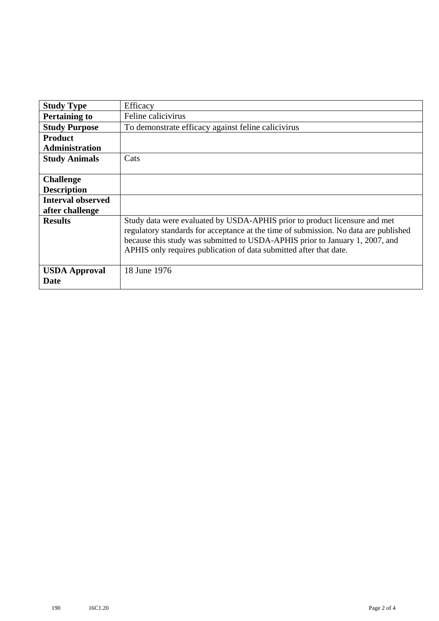| <b>Study Type</b>                   | Efficacy                                                                                                                                                                                                                                                                                                                 |
|-------------------------------------|--------------------------------------------------------------------------------------------------------------------------------------------------------------------------------------------------------------------------------------------------------------------------------------------------------------------------|
| <b>Pertaining to</b>                | Feline calicivirus                                                                                                                                                                                                                                                                                                       |
| <b>Study Purpose</b>                | To demonstrate efficacy against feline calicivirus                                                                                                                                                                                                                                                                       |
| <b>Product</b>                      |                                                                                                                                                                                                                                                                                                                          |
| <b>Administration</b>               |                                                                                                                                                                                                                                                                                                                          |
| <b>Study Animals</b>                | Cats                                                                                                                                                                                                                                                                                                                     |
|                                     |                                                                                                                                                                                                                                                                                                                          |
| <b>Challenge</b>                    |                                                                                                                                                                                                                                                                                                                          |
| <b>Description</b>                  |                                                                                                                                                                                                                                                                                                                          |
| <b>Interval observed</b>            |                                                                                                                                                                                                                                                                                                                          |
| after challenge                     |                                                                                                                                                                                                                                                                                                                          |
| <b>Results</b>                      | Study data were evaluated by USDA-APHIS prior to product licensure and met<br>regulatory standards for acceptance at the time of submission. No data are published<br>because this study was submitted to USDA-APHIS prior to January 1, 2007, and<br>APHIS only requires publication of data submitted after that date. |
| <b>USDA Approval</b><br><b>Date</b> | 18 June 1976                                                                                                                                                                                                                                                                                                             |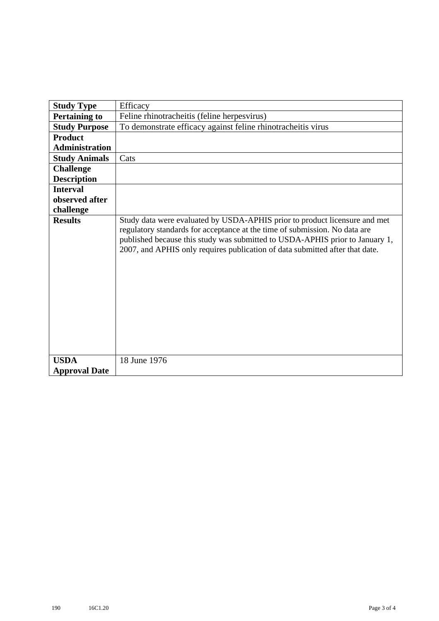| <b>Study Type</b>     | Efficacy                                                                                                                                                                                                                                                                                                                 |  |
|-----------------------|--------------------------------------------------------------------------------------------------------------------------------------------------------------------------------------------------------------------------------------------------------------------------------------------------------------------------|--|
| <b>Pertaining to</b>  | Feline rhinotracheitis (feline herpesvirus)                                                                                                                                                                                                                                                                              |  |
| <b>Study Purpose</b>  | To demonstrate efficacy against feline rhinotracheitis virus                                                                                                                                                                                                                                                             |  |
| <b>Product</b>        |                                                                                                                                                                                                                                                                                                                          |  |
| <b>Administration</b> |                                                                                                                                                                                                                                                                                                                          |  |
| <b>Study Animals</b>  | Cats                                                                                                                                                                                                                                                                                                                     |  |
| <b>Challenge</b>      |                                                                                                                                                                                                                                                                                                                          |  |
| <b>Description</b>    |                                                                                                                                                                                                                                                                                                                          |  |
| <b>Interval</b>       |                                                                                                                                                                                                                                                                                                                          |  |
| observed after        |                                                                                                                                                                                                                                                                                                                          |  |
| challenge             |                                                                                                                                                                                                                                                                                                                          |  |
| <b>Results</b>        | Study data were evaluated by USDA-APHIS prior to product licensure and met<br>regulatory standards for acceptance at the time of submission. No data are<br>published because this study was submitted to USDA-APHIS prior to January 1,<br>2007, and APHIS only requires publication of data submitted after that date. |  |
| <b>USDA</b>           | 18 June 1976                                                                                                                                                                                                                                                                                                             |  |
| <b>Approval Date</b>  |                                                                                                                                                                                                                                                                                                                          |  |